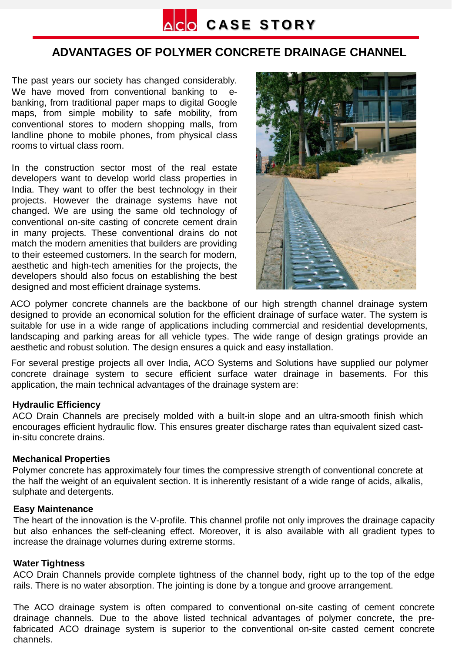

# **ADVANTAGES OF POLYMER CONCRETE DRAINAGE CHANNEL**

The past years our society has changed considerably. We have moved from conventional banking to ebanking, from traditional paper maps to digital Google maps, from simple mobility to safe mobility, from conventional stores to modern shopping malls, from landline phone to mobile phones, from physical class rooms to virtual class room.

In the construction sector most of the real estate developers want to develop world class properties in India. They want to offer the best technology in their projects. However the drainage systems have not changed. We are using the same old technology of conventional on-site casting of concrete cement drain in many projects. These conventional drains do not match the modern amenities that builders are providing to their esteemed customers. In the search for modern, aesthetic and high-tech amenities for the projects, the developers should also focus on establishing the best designed and most efficient drainage systems.



ACO polymer concrete channels are the backbone of our high strength channel drainage system designed to provide an economical solution for the efficient drainage of surface water. The system is suitable for use in a wide range of applications including commercial and residential developments, landscaping and parking areas for all vehicle types. The wide range of design gratings provide an aesthetic and robust solution. The design ensures a quick and easy installation.

For several prestige projects all over India, ACO Systems and Solutions have supplied our polymer concrete drainage system to secure efficient surface water drainage in basements. For this application, the main technical advantages of the drainage system are:

# **Hydraulic Efficiency**

ACO Drain Channels are precisely molded with a built-in slope and an ultra-smooth finish which encourages efficient hydraulic flow. This ensures greater discharge rates than equivalent sized castin-situ concrete drains.

### **Mechanical Properties**

Polymer concrete has approximately four times the compressive strength of conventional concrete at the half the weight of an equivalent section. It is inherently resistant of a wide range of acids, alkalis, sulphate and detergents.

### **Easy Maintenance**

The heart of the innovation is the V-profile. This channel profile not only improves the drainage capacity but also enhances the self-cleaning effect. Moreover, it is also available with all gradient types to increase the drainage volumes during extreme storms.

# **Water Tightness**

ACO Drain Channels provide complete tightness of the channel body, right up to the top of the edge rails. There is no water absorption. The jointing is done by a tongue and groove arrangement.

The ACO drainage system is often compared to conventional on-site casting of cement concrete drainage channels. Due to the above listed technical advantages of polymer concrete, the prefabricated ACO drainage system is superior to the conventional on-site casted cement concrete channels.